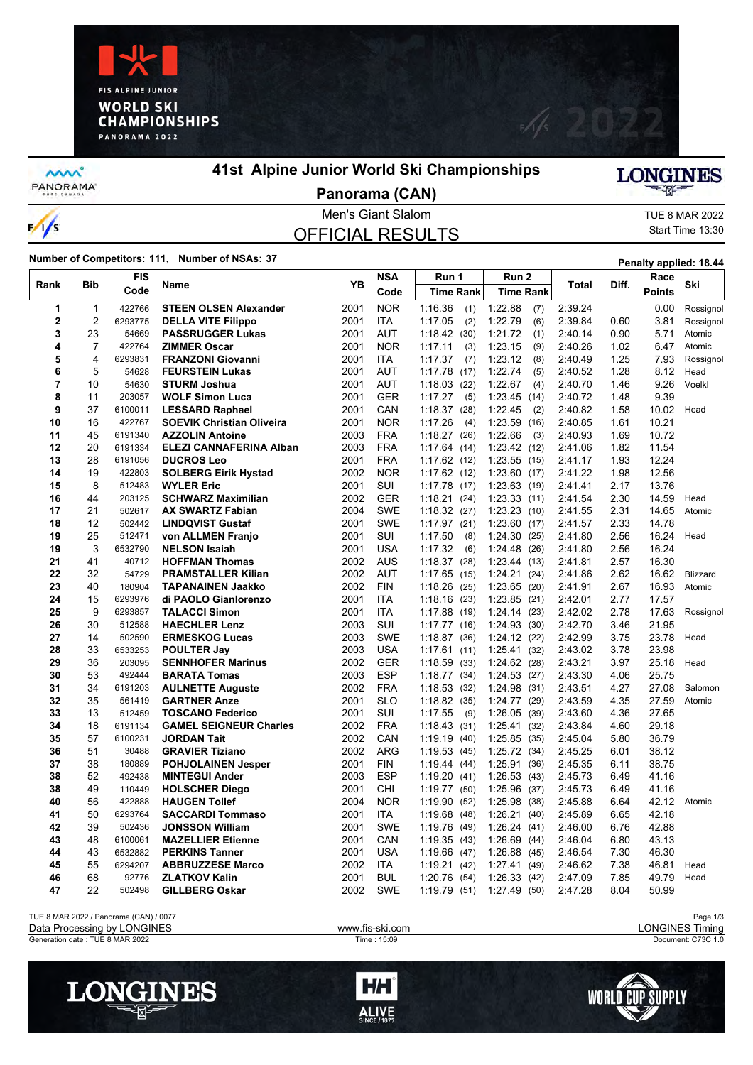



**MW** PANORAMA<sup>-</sup>

 $\frac{1}{s}$ 

# **41st Alpine Junior World Ski Championships**

**LONGINES** 

### Men's Giant Slalom TUE 8 MAR 2022 **Panorama (CAN)**

# OFFICIAL RESULTS

Start Time 13:30

**Number of Competitors: 111, Number of NSAs: 37 Penalty applied: 18.44** 

|                |     | <b>FIS</b> |                                  | <b>YB</b> | <b>NSA</b> | Run 1            | Run 2            |         | Diff. | Race          | Ski             |
|----------------|-----|------------|----------------------------------|-----------|------------|------------------|------------------|---------|-------|---------------|-----------------|
| Rank           | Bib | Code       | Name                             |           | Code       | <b>Time Rank</b> | <b>Time Rank</b> | Total   |       | <b>Points</b> |                 |
| 1              | 1   | 422766     | <b>STEEN OLSEN Alexander</b>     | 2001      | <b>NOR</b> | 1:16.36<br>(1)   | 1:22.88<br>(7)   | 2:39.24 |       | 0.00          | Rossignol       |
| $\mathbf 2$    | 2   | 6293775    | <b>DELLA VITE Filippo</b>        | 2001      | ITA        | 1:17.05<br>(2)   | 1:22.79<br>(6)   | 2:39.84 | 0.60  | 3.81          | Rossignol       |
| 3              | 23  | 54669      | <b>PASSRUGGER Lukas</b>          | 2001      | AUT        | 1:18.42(30)      | 1:21.72<br>(1)   | 2:40.14 | 0.90  | 5.71          | Atomic          |
| 4              | 7   | 422764     | <b>ZIMMER Oscar</b>              | 2001      | <b>NOR</b> | 1:17.11<br>(3)   | 1:23.15<br>(9)   | 2:40.26 | 1.02  | 6.47          | Atomic          |
| 5              | 4   | 6293831    | <b>FRANZONI Giovanni</b>         | 2001      | <b>ITA</b> | 1:17.37<br>(7)   | 1:23.12<br>(8)   | 2:40.49 | 1.25  | 7.93          | Rossignol       |
| 6              | 5   | 54628      | <b>FEURSTEIN Lukas</b>           | 2001      | <b>AUT</b> | 1:17.78<br>(17)  | 1:22.74<br>(5)   | 2:40.52 | 1.28  | 8.12          | Head            |
| $\overline{7}$ | 10  | 54630      | <b>STURM Joshua</b>              | 2001      | <b>AUT</b> | 1:18.03<br>(22)  | 1:22.67<br>(4)   | 2:40.70 | 1.46  | 9.26          | Voelkl          |
| 8              | 11  | 203057     | <b>WOLF Simon Luca</b>           | 2001      | <b>GER</b> | 1:17.27<br>(5)   | 1:23.45<br>(14)  | 2:40.72 | 1.48  | 9.39          |                 |
| 9              | 37  | 6100011    | <b>LESSARD Raphael</b>           | 2001      | CAN        | 1:18.37<br>(28)  | 1:22.45<br>(2)   | 2:40.82 | 1.58  | 10.02         | Head            |
| 10             | 16  | 422767     | <b>SOEVIK Christian Oliveira</b> | 2001      | <b>NOR</b> | 1:17.26<br>(4)   | 1:23.59<br>(16)  | 2:40.85 | 1.61  | 10.21         |                 |
| 11             | 45  | 6191340    | <b>AZZOLIN Antoine</b>           | 2003      | <b>FRA</b> | 1:18.27<br>(26)  | 1:22.66<br>(3)   | 2:40.93 | 1.69  | 10.72         |                 |
| 12             | 20  | 6191334    | <b>ELEZI CANNAFERINA Alban</b>   | 2003      | <b>FRA</b> | 1:17.64(14)      | 1:23.42 (12)     | 2:41.06 | 1.82  | 11.54         |                 |
| 13             | 28  | 6191056    | <b>DUCROS Leo</b>                | 2001      | <b>FRA</b> | 1:17.62(12)      | $1:23.55$ (15)   | 2:41.17 | 1.93  | 12.24         |                 |
| 14             | 19  | 422803     | <b>SOLBERG Eirik Hystad</b>      | 2002      | <b>NOR</b> | 1:17.62(12)      | 1:23.60(17)      | 2:41.22 | 1.98  | 12.56         |                 |
| 15             | 8   | 512483     | <b>WYLER Eric</b>                | 2001      | SUI        | 1:17.78<br>(17)  | 1:23.63(19)      | 2:41.41 | 2.17  | 13.76         |                 |
| 16             | 44  | 203125     | <b>SCHWARZ Maximilian</b>        | 2002      | <b>GER</b> | 1:18.21<br>(24)  | 1:23.33(11)      | 2:41.54 | 2.30  | 14.59         | Head            |
| 17             | 21  | 502617     | <b>AX SWARTZ Fabian</b>          | 2004      | <b>SWE</b> | 1:18.32(27)      | 1:23.23(10)      | 2:41.55 | 2.31  | 14.65         | Atomic          |
| 18             | 12  | 502442     | <b>LINDQVIST Gustaf</b>          | 2001      | <b>SWE</b> | 1:17.97(21)      | $1:23.60$ (17)   | 2:41.57 | 2.33  | 14.78         |                 |
| 19             | 25  | 512471     | von ALLMEN Franjo                | 2001      | SUI        | 1:17.50<br>(8)   | 1:24.30(25)      | 2:41.80 | 2.56  | 16.24         | Head            |
| 19             | 3   | 6532790    | <b>NELSON Isaiah</b>             | 2001      | <b>USA</b> | 1:17.32<br>(6)   | 1.24.48(26)      | 2:41.80 | 2.56  | 16.24         |                 |
| 21             | 41  | 40712      | <b>HOFFMAN Thomas</b>            | 2002      | <b>AUS</b> | 1:18.37<br>(28)  | 1:23.44(13)      | 2:41.81 | 2.57  | 16.30         |                 |
| 22             | 32  | 54729      | <b>PRAMSTALLER Kilian</b>        | 2002      | <b>AUT</b> | 1:17.65<br>(15)  | 1:24.21(24)      | 2:41.86 | 2.62  | 16.62         | <b>Blizzard</b> |
| 23             | 40  | 180904     | <b>TAPANAINEN Jaakko</b>         | 2002      | <b>FIN</b> | 1:18.26<br>(25)  | 1:23.65(20)      | 2:41.91 | 2.67  | 16.93         | Atomic          |
| 24             | 15  | 6293976    | di PAOLO Gianlorenzo             | 2001      | <b>ITA</b> | 1:18.16<br>(23)  | $1:23.85$ (21)   | 2:42.01 | 2.77  | 17.57         |                 |
| 25             | 9   | 6293857    | <b>TALACCI Simon</b>             | 2001      | <b>ITA</b> | 1:17.88<br>(19)  | 1:24.14<br>(23)  | 2:42.02 | 2.78  | 17.63         | Rossignol       |
| 26             | 30  | 512588     | <b>HAECHLER Lenz</b>             | 2003      | SUI        | 1:17.77<br>(16)  | 1:24.93(30)      | 2:42.70 | 3.46  | 21.95         |                 |
| 27             | 14  | 502590     | <b>ERMESKOG Lucas</b>            | 2003      | <b>SWE</b> | 1:18.87<br>(36)  | $1:24.12$ (22)   | 2:42.99 | 3.75  | 23.78         | Head            |
| 28             | 33  | 6533253    | <b>POULTER Jay</b>               | 2003      | <b>USA</b> | 1:17.61<br>(11)  | 1:25.41(32)      | 2:43.02 | 3.78  | 23.98         |                 |
| 29             | 36  | 203095     | <b>SENNHOFER Marinus</b>         | 2002      | <b>GER</b> | 1:18.59<br>(33)  | 1:24.62<br>(28)  | 2:43.21 | 3.97  | 25.18         | Head            |
| 30             | 53  | 492444     | <b>BARATA Tomas</b>              | 2003      | <b>ESP</b> | 1:18.77<br>(34)  | 1:24.53(27)      | 2:43.30 | 4.06  | 25.75         |                 |
| 31             | 34  | 6191203    | <b>AULNETTE Auguste</b>          | 2002      | <b>FRA</b> | 1:18.53<br>(32)  | 1:24.98<br>(31)  | 2:43.51 | 4.27  | 27.08         | Salomon         |
| 32             | 35  | 561419     | <b>GARTNER Anze</b>              | 2001      | <b>SLO</b> | 1:18.82<br>(35)  | 1:24.77 (29)     | 2:43.59 | 4.35  | 27.59         | Atomic          |
| 33             | 13  | 512459     | <b>TOSCANO Federico</b>          | 2001      | SUI        | 1:17.55<br>(9)   | 1:26.05<br>(39)  | 2:43.60 | 4.36  | 27.65         |                 |
| 34             | 18  | 6191134    | <b>GAMEL SEIGNEUR Charles</b>    | 2002      | <b>FRA</b> | 1:18.43<br>(31)  | 1:25.41(32)      | 2:43.84 | 4.60  | 29.18         |                 |
| 35             | 57  | 6100231    | <b>JORDAN Tait</b>               | 2002      | CAN        | 1:19.19<br>(40)  | 1:25.85(35)      | 2:45.04 | 5.80  | 36.79         |                 |
| 36             | 51  | 30488      | <b>GRAVIER Tiziano</b>           | 2002      | <b>ARG</b> | 1:19.53<br>(45)  | 1:25.72(34)      | 2:45.25 | 6.01  | 38.12         |                 |
| 37             | 38  | 180889     | <b>POHJOLAINEN Jesper</b>        | 2001      | <b>FIN</b> | 1:19.44<br>(44)  | 1:25.91(36)      | 2:45.35 | 6.11  | 38.75         |                 |
| 38             | 52  | 492438     | <b>MINTEGUI Ander</b>            | 2003      | <b>ESP</b> | 1:19.20<br>(41)  | 1:26.53(43)      | 2:45.73 | 6.49  | 41.16         |                 |
| 38             | 49  | 110449     | <b>HOLSCHER Diego</b>            | 2001      | CHI        | 1:19.77<br>(50)  | 1:25.96(37)      | 2:45.73 | 6.49  | 41.16         |                 |
| 40             | 56  | 422888     | <b>HAUGEN Tollef</b>             | 2004      | <b>NOR</b> | 1:19.90<br>(52)  | 1:25.98(38)      | 2:45.88 | 6.64  | 42.12         | Atomic          |
| 41             | 50  | 6293764    | <b>SACCARDI Tommaso</b>          | 2001      | <b>ITA</b> | 1:19.68<br>(48)  | 1:26.21(40)      | 2:45.89 | 6.65  | 42.18         |                 |
| 42             | 39  | 502436     | <b>JONSSON William</b>           | 2001      | <b>SWE</b> | 1:19.76<br>(49)  | 1:26.24(41)      | 2:46.00 | 6.76  | 42.88         |                 |
| 43             | 48  | 6100061    | <b>MAZELLIER Etienne</b>         | 2001      | CAN        | 1:19.35<br>(43)  | 1:26.69(44)      | 2:46.04 | 6.80  | 43.13         |                 |
| 44             | 43  | 6532882    | <b>PERKINS Tanner</b>            | 2001      | <b>USA</b> | 1:19.66<br>(47)  | 1:26.88(45)      | 2:46.54 | 7.30  | 46.30         |                 |
| 45             | 55  | 6294207    | <b>ABBRUZZESE Marco</b>          | 2002      | <b>ITA</b> | 1:19.21<br>(42)  | 1:27.41 (49)     | 2:46.62 | 7.38  | 46.81         | Head            |
| 46             | 68  | 92776      | <b>ZLATKOV Kalin</b>             | 2001      | <b>BUL</b> | 1.20.76<br>(54)  | 1:26.33(42)      | 2:47.09 | 7.85  | 49.79         | Head            |
| 47             | 22  | 502498     | <b>GILLBERG Oskar</b>            | 2002      | <b>SWE</b> | 1:19.79(51)      | 1:27.49(50)      | 2:47.28 | 8.04  | 50.99         |                 |
|                |     |            |                                  |           |            |                  |                  |         |       |               |                 |





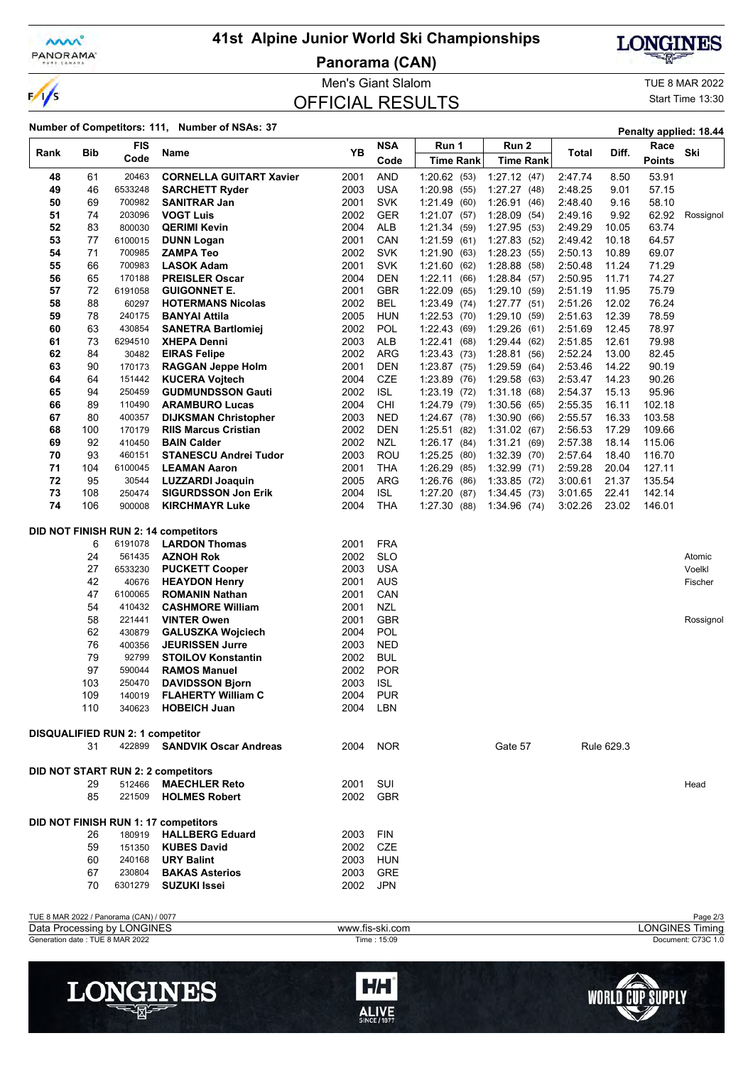

 $\frac{1}{s}$ 

# **41st Alpine Junior World Ski Championships**

**Panorama (CAN)**



**WORLD CUP SUPPLY** 

Men's Giant Slalom TUE 8 MAR 2022

OFFICIAL RESULTS

Start Time 13:30

LONGINES

| Number of Competitors: 111, Number of NSAs: 37<br>Penalty applied: 18.44 |            |                                         |                                                       |              |                 |                            |                            |                    |                |                  |                        |
|--------------------------------------------------------------------------|------------|-----------------------------------------|-------------------------------------------------------|--------------|-----------------|----------------------------|----------------------------|--------------------|----------------|------------------|------------------------|
|                                                                          |            | <b>FIS</b>                              |                                                       |              | <b>NSA</b>      | Run 1                      | Run 2                      |                    |                | Race             |                        |
| Rank                                                                     | <b>Bib</b> | Code                                    | Name                                                  | ΥB           | Code            | <b>Time Rank</b>           | <b>Time Rank</b>           | Total              | Diff.          | <b>Points</b>    | Ski                    |
| 48                                                                       | 61         | 20463                                   | <b>CORNELLA GUITART Xavier</b>                        | 2001         | AND             | 1:20.62(53)                | 1:27.12(47)                | 2:47.74            | 8.50           | 53.91            |                        |
| 49                                                                       | 46         | 6533248                                 | <b>SARCHETT Ryder</b>                                 | 2003         | <b>USA</b>      | 1:20.98(55)                | 1:27.27(48)                | 2:48.25            | 9.01           | 57.15            |                        |
| 50                                                                       | 69         | 700982                                  | <b>SANITRAR Jan</b>                                   | 2001         | <b>SVK</b>      | 1:21.49 (60)               | 1:26.91(46)                | 2:48.40            | 9.16           | 58.10            |                        |
| 51                                                                       | 74         | 203096                                  | <b>VOGT Luis</b>                                      | 2002         | <b>GER</b>      | 1:21.07(57)                | 1:28.09(54)                | 2:49.16            | 9.92           | 62.92            | Rossignol              |
| 52                                                                       | 83         | 800030                                  | <b>QERIMI Kevin</b>                                   | 2004         | ALB             | 1:21.34(59)                | 1:27.95(53)                | 2:49.29            | 10.05          | 63.74            |                        |
| 53                                                                       | 77         | 6100015                                 | <b>DUNN Logan</b>                                     | 2001         | CAN             | 1:21.59(61)                | 1:27.83(52)                | 2:49.42            | 10.18          | 64.57            |                        |
| 54                                                                       | 71         | 700985                                  | <b>ZAMPA Teo</b>                                      | 2002         | <b>SVK</b>      | 1:21.90<br>(63)            | 1:28.23(55)                | 2:50.13            | 10.89          | 69.07            |                        |
| 55                                                                       | 66         | 700983                                  | <b>LASOK Adam</b>                                     | 2001         | <b>SVK</b>      | 1:21.60(62)                | 1:28.88(58)                | 2:50.48            | 11.24          | 71.29            |                        |
| 56                                                                       | 65         | 170188                                  | <b>PREISLER Oscar</b>                                 | 2004         | <b>DEN</b>      | 1:22.11<br>(66)            | 1:28.84(57)                | 2:50.95            | 11.71          | 74.27            |                        |
| 57                                                                       | 72         | 6191058                                 | <b>GUIGONNET E.</b>                                   | 2001         | <b>GBR</b>      | 1.22.09<br>(65)            | 1:29.10(59)                | 2:51.19            | 11.95          | 75.79            |                        |
| 58                                                                       | 88         | 60297                                   | <b>HOTERMANS Nicolas</b>                              | 2002         | <b>BEL</b>      | 1:23.49 (74)               | 1:27.77(51)                | 2:51.26            | 12.02          | 76.24            |                        |
| 59                                                                       | 78         | 240175                                  | <b>BANYAI Attila</b>                                  | 2005         | HUN             | 1:22.53(70)                | 1:29.10(59)                | 2:51.63            | 12.39          | 78.59            |                        |
| 60                                                                       | 63         | 430854                                  | <b>SANETRA Bartlomiej</b>                             | 2002         | POL             | 1:22.43<br>(69)            | 1:29.26(61)                | 2:51.69            | 12.45          | 78.97            |                        |
| 61                                                                       | 73         | 6294510                                 | <b>XHEPA Denni</b>                                    | 2003         | ALB             | 1:22.41(68)                | 1:29.44(62)                | 2:51.85            | 12.61          | 79.98            |                        |
| 62                                                                       | 84         | 30482                                   | <b>EIRAS Felipe</b>                                   | 2002         | <b>ARG</b>      | 1:23.43(73)                | 1:28.81(56)                | 2:52.24            | 13.00          | 82.45            |                        |
| 63                                                                       | 90         | 170173                                  | <b>RAGGAN Jeppe Holm</b>                              | 2001         | DEN             | $1:23.87$ (75)             | 1:29.59(64)                | 2:53.46            | 14.22          | 90.19            |                        |
| 64                                                                       | 64         | 151442                                  | <b>KUCERA Vojtech</b>                                 | 2004         | <b>CZE</b>      | 1:23.89(76)                | 1:29.58(63)                | 2:53.47            | 14.23          | 90.26            |                        |
| 65                                                                       | 94         | 250459                                  | <b>GUDMUNDSSON Gauti</b>                              | 2002         | <b>ISL</b>      | 1:23.19(72)                | 1:31.18(68)                | 2:54.37            | 15.13          | 95.96            |                        |
| 66                                                                       | 89         | 110490                                  | <b>ARAMBURO Lucas</b>                                 | 2004         | CHI             | 1:24.79 (79)               | 1:30.56(65)                | 2:55.35            | 16.11          | 102.18           |                        |
| 67                                                                       | 80         | 400357                                  | <b>DIJKSMAN Christopher</b>                           | 2003         | <b>NED</b>      | 1:24.67(78)                | 1:30.90(66)                | 2:55.57            | 16.33          | 103.58           |                        |
| 68                                                                       | 100        | 170179                                  | <b>RIIS Marcus Cristian</b>                           | 2002         | <b>DEN</b>      | 1:25.51(82)                | 1:31.02(67)                | 2:56.53            | 17.29          | 109.66           |                        |
| 69                                                                       | 92         | 410450                                  | <b>BAIN Calder</b>                                    | 2002         | NZL             | 1:26.17(84)                | 1:31.21(69)                | 2:57.38            | 18.14          | 115.06           |                        |
| 70                                                                       | 93         | 460151                                  | <b>STANESCU Andrei Tudor</b>                          | 2003         | ROU             | 1:25.25(80)                | $1:32.39$ (70)             | 2.57.64            | 18.40          | 116.70           |                        |
| 71<br>72                                                                 | 104<br>95  | 6100045<br>30544                        | <b>LEAMAN Aaron</b>                                   | 2001         | THA<br>ARG      | 1:26.29(85)<br>1:26.76(86) | 1:32.99(71)<br>1:33.85(72) | 2:59.28            | 20.04<br>21.37 | 127.11           |                        |
| 73                                                                       | 108        | 250474                                  | <b>LUZZARDI Joaquin</b><br><b>SIGURDSSON Jon Erik</b> | 2005<br>2004 | <b>ISL</b>      | 1.27.20<br>(87)            | 1:34.45(73)                | 3:00.61<br>3:01.65 | 22.41          | 135.54<br>142.14 |                        |
| 74                                                                       | 106        | 900008                                  | <b>KIRCHMAYR Luke</b>                                 | 2004         | <b>THA</b>      | 1:27.30 (88)               | 1:34.96(74)                | 3:02.26            | 23.02          | 146.01           |                        |
|                                                                          |            |                                         |                                                       |              |                 |                            |                            |                    |                |                  |                        |
|                                                                          |            |                                         | DID NOT FINISH RUN 2: 14 competitors                  |              |                 |                            |                            |                    |                |                  |                        |
|                                                                          | 6          | 6191078                                 | <b>LARDON Thomas</b>                                  | 2001         | <b>FRA</b>      |                            |                            |                    |                |                  |                        |
|                                                                          | 24         | 561435                                  | <b>AZNOH Rok</b>                                      | 2002         | <b>SLO</b>      |                            |                            |                    |                |                  | Atomic                 |
|                                                                          | 27         | 6533230                                 | <b>PUCKETT Cooper</b>                                 | 2003         | <b>USA</b>      |                            |                            |                    |                |                  | Voelkl                 |
|                                                                          | 42         | 40676                                   | <b>HEAYDON Henry</b>                                  | 2001         | <b>AUS</b>      |                            |                            |                    |                |                  | Fischer                |
|                                                                          | 47         | 6100065                                 | <b>ROMANIN Nathan</b>                                 | 2001         | CAN             |                            |                            |                    |                |                  |                        |
|                                                                          | 54         | 410432                                  | <b>CASHMORE William</b>                               | 2001         | NZL             |                            |                            |                    |                |                  |                        |
|                                                                          | 58         | 221441                                  | <b>VINTER Owen</b>                                    | 2001         | <b>GBR</b>      |                            |                            |                    |                |                  | Rossignol              |
|                                                                          | 62         | 430879                                  | <b>GALUSZKA Wojciech</b>                              | 2004         | POL             |                            |                            |                    |                |                  |                        |
|                                                                          | 76         | 400356                                  | <b>JEURISSEN Jurre</b>                                | 2003         | <b>NED</b>      |                            |                            |                    |                |                  |                        |
|                                                                          | 79         | 92799                                   | <b>STOILOV Konstantin</b>                             | 2002         | <b>BUL</b>      |                            |                            |                    |                |                  |                        |
|                                                                          | 97         | 590044                                  | <b>RAMOS Manuel</b>                                   | 2002         | <b>POR</b>      |                            |                            |                    |                |                  |                        |
|                                                                          | 103        | 250470                                  | <b>DAVIDSSON Biorn</b>                                | 2003         | <b>ISL</b>      |                            |                            |                    |                |                  |                        |
|                                                                          | 109        | 140019                                  | <b>FLAHERTY William C</b>                             | 2004         | <b>PUR</b>      |                            |                            |                    |                |                  |                        |
|                                                                          | 110        | 340623                                  | <b>HOBEICH Juan</b>                                   | 2004         | LBN             |                            |                            |                    |                |                  |                        |
|                                                                          |            |                                         |                                                       |              |                 |                            |                            |                    |                |                  |                        |
|                                                                          |            | <b>DISQUALIFIED RUN 2: 1 competitor</b> |                                                       |              |                 |                            |                            |                    |                |                  |                        |
|                                                                          | 31         |                                         | 422899 SANDVIK Oscar Andreas                          | 2004         | <b>NOR</b>      |                            | Gate 57                    |                    | Rule 629.3     |                  |                        |
|                                                                          |            |                                         |                                                       |              |                 |                            |                            |                    |                |                  |                        |
|                                                                          |            |                                         | <b>DID NOT START RUN 2: 2 competitors</b>             |              |                 |                            |                            |                    |                |                  |                        |
|                                                                          | 29         | 512466                                  | <b>MAECHLER Reto</b>                                  | 2001         | SUI             |                            |                            |                    |                |                  | Head                   |
|                                                                          | 85         | 221509                                  | <b>HOLMES Robert</b>                                  |              | 2002 GBR        |                            |                            |                    |                |                  |                        |
|                                                                          |            |                                         |                                                       |              |                 |                            |                            |                    |                |                  |                        |
|                                                                          |            |                                         | DID NOT FINISH RUN 1: 17 competitors                  |              |                 |                            |                            |                    |                |                  |                        |
|                                                                          | 26         | 180919                                  | <b>HALLBERG Eduard</b>                                | 2003         | <b>FIN</b>      |                            |                            |                    |                |                  |                        |
|                                                                          | 59         | 151350                                  | <b>KUBES David</b>                                    | 2002         | CZE             |                            |                            |                    |                |                  |                        |
|                                                                          | 60         |                                         | 240168 <b>URY Balint</b>                              | 2003         | HUN             |                            |                            |                    |                |                  |                        |
|                                                                          | 67         |                                         | 230804 BAKAS Asterios                                 |              | 2003 GRE        |                            |                            |                    |                |                  |                        |
|                                                                          | 70         | 6301279                                 | SUZUKI Issei                                          | 2002         | <b>JPN</b>      |                            |                            |                    |                |                  |                        |
|                                                                          |            |                                         |                                                       |              |                 |                            |                            |                    |                |                  |                        |
|                                                                          |            | TUE 8 MAR 2022 / Panorama (CAN) / 0077  |                                                       |              |                 |                            |                            |                    |                |                  | Page 2/3               |
|                                                                          |            | Data Processing by LONGINES             |                                                       |              | www.fis-ski.com |                            |                            |                    |                |                  | <b>LONGINES Timing</b> |



HН

ALIVE